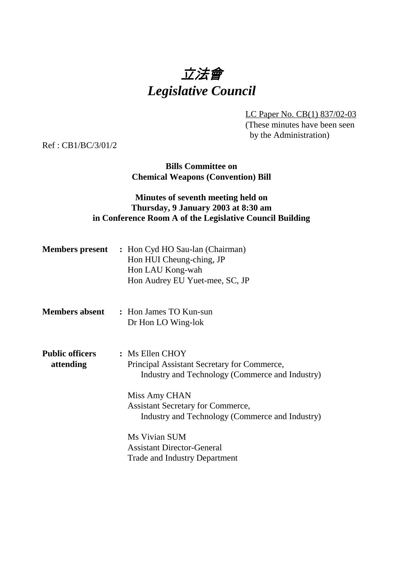# 立法會 *Legislative Council*

LC Paper No. CB(1) 837/02-03 (These minutes have been seen by the Administration)

Ref : CB1/BC/3/01/2

## **Bills Committee on Chemical Weapons (Convention) Bill**

## **Minutes of seventh meeting held on Thursday, 9 January 2003 at 8:30 am in Conference Room A of the Legislative Council Building**

|                                     | <b>Members present</b> : Hon Cyd HO Sau-lan (Chairman)<br>Hon HUI Cheung-ching, JP<br>Hon LAU Kong-wah<br>Hon Audrey EU Yuet-mee, SC, JP |
|-------------------------------------|------------------------------------------------------------------------------------------------------------------------------------------|
| <b>Members absent</b>               | : Hon James TO Kun-sun<br>Dr Hon LO Wing-lok                                                                                             |
| <b>Public officers</b><br>attending | : Ms Ellen CHOY<br>Principal Assistant Secretary for Commerce,<br>Industry and Technology (Commerce and Industry)                        |
|                                     | Miss Amy CHAN<br><b>Assistant Secretary for Commerce,</b><br>Industry and Technology (Commerce and Industry)                             |
|                                     | Ms Vivian SUM<br><b>Assistant Director-General</b><br><b>Trade and Industry Department</b>                                               |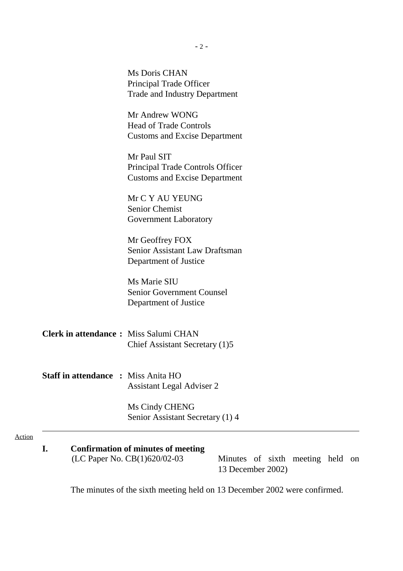Ms Doris CHAN Principal Trade Officer Trade and Industry Department

Mr Andrew WONG Head of Trade Controls Customs and Excise Department

Mr Paul SIT Principal Trade Controls Officer Customs and Excise Department

Mr C Y AU YEUNG Senior Chemist Government Laboratory

Mr Geoffrey FOX Senior Assistant Law Draftsman Department of Justice

Ms Marie SIU Senior Government Counsel Department of Justice

- **Clerk in attendance :** Miss Salumi CHAN Chief Assistant Secretary (1)5
- **Staff in attendance :** Miss Anita HO Assistant Legal Adviser 2

Ms Cindy CHENG Senior Assistant Secretary (1) 4

#### Action

## **I. Confirmation of minutes of meeting**

 $(LC$  Paper No.  $CB(1)620/02-03$  — Minutes of sixth meeting held on 13 December 2002)

The minutes of the sixth meeting held on 13 December 2002 were confirmed.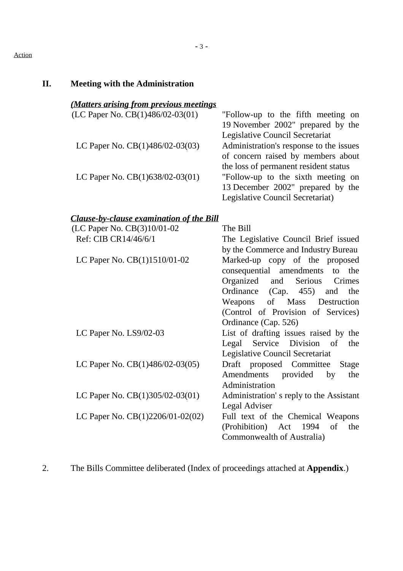#### Action

# **II. Meeting with the Administration**

# *(Matters arising from previous meetings*

| (LC Paper No. CB $(1)486/02-03(01)$ — "Follow-up to the fifth meeting on |                                         |
|--------------------------------------------------------------------------|-----------------------------------------|
|                                                                          | 19 November 2002" prepared by the       |
|                                                                          | Legislative Council Secretariat         |
| LC Paper No. $CB(1)486/02-03(03)$ —                                      | Administration's response to the issues |
|                                                                          | of concern raised by members about      |
|                                                                          | the loss of permanent resident status   |
| LC Paper No. $CB(1)638/02-03(01)$ —                                      | "Follow-up to the sixth meeting on      |
|                                                                          | 13 December 2002" prepared by the       |
|                                                                          | Legislative Council Secretariat)        |

## *Clause-by-clause examination of the Bill*

| (LC Paper No. CB(3)10/01-02    | The Bill                                                                    |
|--------------------------------|-----------------------------------------------------------------------------|
| Ref: CIB CR14/46/6/1           | The Legislative Council Brief issued                                        |
|                                | by the Commerce and Industry Bureau                                         |
| LC Paper No. $CB(1)1510/01-02$ | Marked-up copy of the proposed                                              |
|                                | consequential amendments to the                                             |
|                                | Organized and Serious Crimes                                                |
|                                | Ordinance (Cap. 455) and the                                                |
|                                | Weapons of Mass Destruction                                                 |
|                                | (Control of Provision of Services)                                          |
|                                | Ordinance (Cap. 526)                                                        |
| LC Paper No. $LS9/02-03$       | List of drafting issues raised by the                                       |
|                                | Legal Service Division of<br>the                                            |
|                                | Legislative Council Secretariat                                             |
|                                | LC Paper No. CB(1)486/02-03(05) — Draft proposed Committee Stage            |
|                                | Amendments provided by<br>the                                               |
|                                | Administration                                                              |
|                                | LC Paper No. $CB(1)305/02-03(01)$ — Administration's reply to the Assistant |
|                                | Legal Adviser                                                               |
|                                | LC Paper No. $CB(1)2206/01-02(02)$ Full text of the Chemical Weapons        |
|                                | (Prohibition) Act 1994 of the                                               |
|                                | Commonwealth of Australia)                                                  |
|                                |                                                                             |

2. The Bills Committee deliberated (Index of proceedings attached at **Appendix**.)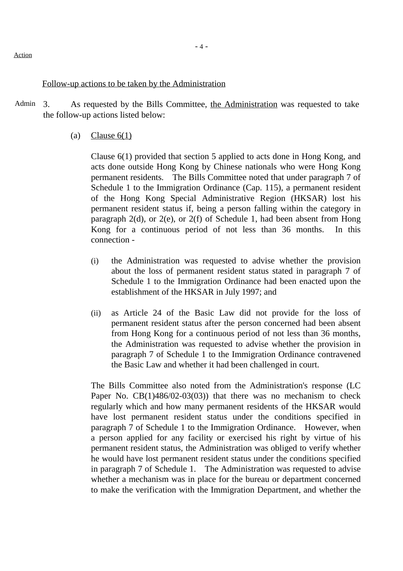#### Follow-up actions to be taken by the Administration

- Admin 3. As requested by the Bills Committee, the Administration was requested to take the follow-up actions listed below:
	- (a) Clause  $6(1)$

Clause 6(1) provided that section 5 applied to acts done in Hong Kong, and acts done outside Hong Kong by Chinese nationals who were Hong Kong permanent residents. The Bills Committee noted that under paragraph 7 of Schedule 1 to the Immigration Ordinance (Cap. 115), a permanent resident of the Hong Kong Special Administrative Region (HKSAR) lost his permanent resident status if, being a person falling within the category in paragraph 2(d), or 2(e), or 2(f) of Schedule 1, had been absent from Hong Kong for a continuous period of not less than 36 months. In this connection -

- (i) the Administration was requested to advise whether the provision about the loss of permanent resident status stated in paragraph 7 of Schedule 1 to the Immigration Ordinance had been enacted upon the establishment of the HKSAR in July 1997; and
- (ii) as Article 24 of the Basic Law did not provide for the loss of permanent resident status after the person concerned had been absent from Hong Kong for a continuous period of not less than 36 months, the Administration was requested to advise whether the provision in paragraph 7 of Schedule 1 to the Immigration Ordinance contravened the Basic Law and whether it had been challenged in court.

The Bills Committee also noted from the Administration's response (LC Paper No. CB(1)486/02-03(03)) that there was no mechanism to check regularly which and how many permanent residents of the HKSAR would have lost permanent resident status under the conditions specified in paragraph 7 of Schedule 1 to the Immigration Ordinance. However, when a person applied for any facility or exercised his right by virtue of his permanent resident status, the Administration was obliged to verify whether he would have lost permanent resident status under the conditions specified in paragraph 7 of Schedule 1. The Administration was requested to advise whether a mechanism was in place for the bureau or department concerned to make the verification with the Immigration Department, and whether the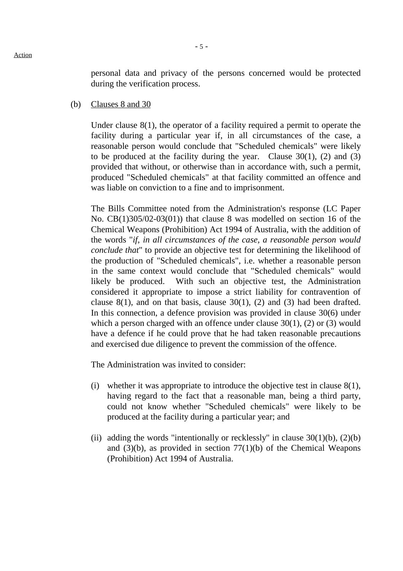personal data and privacy of the persons concerned would be protected during the verification process.

(b) Clauses 8 and 30

Under clause 8(1), the operator of a facility required a permit to operate the facility during a particular year if, in all circumstances of the case, a reasonable person would conclude that "Scheduled chemicals" were likely to be produced at the facility during the year. Clause  $30(1)$ , (2) and (3) provided that without, or otherwise than in accordance with, such a permit, produced "Scheduled chemicals" at that facility committed an offence and was liable on conviction to a fine and to imprisonment.

The Bills Committee noted from the Administration's response (LC Paper No. CB(1)305/02-03(01)) that clause 8 was modelled on section 16 of the Chemical Weapons (Prohibition) Act 1994 of Australia, with the addition of the words "*if, in all circumstances of the case, a reasonable person would conclude that*" to provide an objective test for determining the likelihood of the production of "Scheduled chemicals", i.e. whether a reasonable person in the same context would conclude that "Scheduled chemicals" would likely be produced. With such an objective test, the Administration considered it appropriate to impose a strict liability for contravention of clause  $8(1)$ , and on that basis, clause  $30(1)$ , (2) and (3) had been drafted. In this connection, a defence provision was provided in clause 30(6) under which a person charged with an offence under clause 30(1), (2) or (3) would have a defence if he could prove that he had taken reasonable precautions and exercised due diligence to prevent the commission of the offence.

The Administration was invited to consider:

- (i) whether it was appropriate to introduce the objective test in clause 8(1), having regard to the fact that a reasonable man, being a third party, could not know whether "Scheduled chemicals" were likely to be produced at the facility during a particular year; and
- (ii) adding the words "intentionally or recklessly" in clause  $30(1)(b)$ ,  $(2)(b)$ and  $(3)(b)$ , as provided in section  $77(1)(b)$  of the Chemical Weapons (Prohibition) Act 1994 of Australia.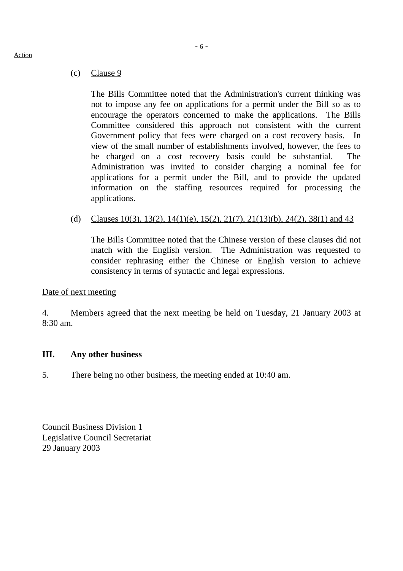## (c) Clause 9

The Bills Committee noted that the Administration's current thinking was not to impose any fee on applications for a permit under the Bill so as to encourage the operators concerned to make the applications. The Bills Committee considered this approach not consistent with the current Government policy that fees were charged on a cost recovery basis. In view of the small number of establishments involved, however, the fees to be charged on a cost recovery basis could be substantial. The Administration was invited to consider charging a nominal fee for applications for a permit under the Bill, and to provide the updated information on the staffing resources required for processing the applications.

## (d) Clauses 10(3), 13(2), 14(1)(e), 15(2), 21(7), 21(13)(b), 24(2), 38(1) and 43

The Bills Committee noted that the Chinese version of these clauses did not match with the English version. The Administration was requested to consider rephrasing either the Chinese or English version to achieve consistency in terms of syntactic and legal expressions.

## Date of next meeting

4. Members agreed that the next meeting be held on Tuesday, 21 January 2003 at 8:30 am.

## **III. Any other business**

5. There being no other business, the meeting ended at 10:40 am.

Council Business Division 1 Legislative Council Secretariat 29 January 2003

## Action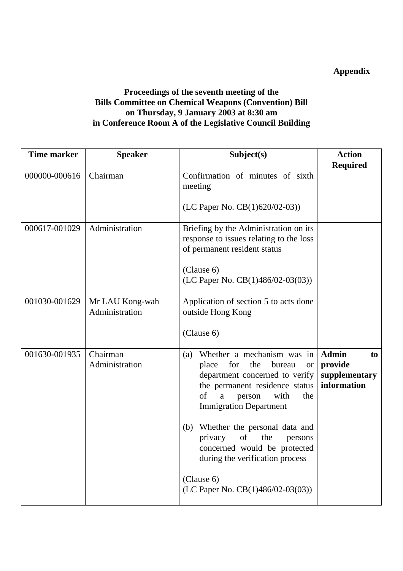# **Appendix**

## **Proceedings of the seventh meeting of the Bills Committee on Chemical Weapons (Convention) Bill on Thursday, 9 January 2003 at 8:30 am in Conference Room A of the Legislative Council Building**

| <b>Time marker</b> | <b>Speaker</b>                    | Subject(s)                                                                                                                                                                                                                                                                                                                                                                                                                | <b>Action</b><br><b>Required</b>                              |
|--------------------|-----------------------------------|---------------------------------------------------------------------------------------------------------------------------------------------------------------------------------------------------------------------------------------------------------------------------------------------------------------------------------------------------------------------------------------------------------------------------|---------------------------------------------------------------|
| 000000-000616      | Chairman                          | Confirmation of minutes of sixth<br>meeting                                                                                                                                                                                                                                                                                                                                                                               |                                                               |
|                    |                                   | (LC Paper No. CB(1)620/02-03))                                                                                                                                                                                                                                                                                                                                                                                            |                                                               |
| 000617-001029      | Administration                    | Briefing by the Administration on its<br>response to issues relating to the loss<br>of permanent resident status<br>(Clause 6)<br>(LC Paper No. $CB(1)486/02-03(03)$ )                                                                                                                                                                                                                                                    |                                                               |
| 001030-001629      | Mr LAU Kong-wah<br>Administration | Application of section 5 to acts done<br>outside Hong Kong<br>(Clause 6)                                                                                                                                                                                                                                                                                                                                                  |                                                               |
| 001630-001935      | Chairman<br>Administration        | Whether a mechanism was in<br>(a)<br>for<br>the<br>bureau<br>place<br><b>or</b><br>department concerned to verify<br>the permanent residence status<br>of<br>with<br>the<br>a<br>person<br><b>Immigration Department</b><br>Whether the personal data and<br>(b)<br>of<br>the<br>privacy<br>persons<br>concerned would be protected<br>during the verification process<br>(Clause 6)<br>(LC Paper No. CB(1)486/02-03(03)) | <b>Admin</b><br>to<br>provide<br>supplementary<br>information |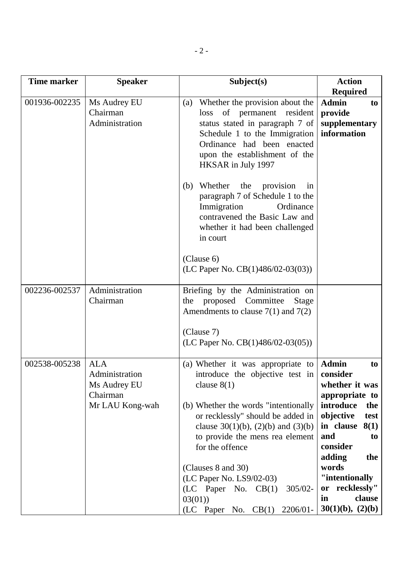| <b>Time marker</b> | <b>Speaker</b>                                                              | Subject(s)                                                                                                                                                                                                                                                                                                                                                                                                                          | <b>Action</b>                                                                                                                                                                                                                                               |
|--------------------|-----------------------------------------------------------------------------|-------------------------------------------------------------------------------------------------------------------------------------------------------------------------------------------------------------------------------------------------------------------------------------------------------------------------------------------------------------------------------------------------------------------------------------|-------------------------------------------------------------------------------------------------------------------------------------------------------------------------------------------------------------------------------------------------------------|
| 001936-002235      | Ms Audrey EU<br>Chairman<br>Administration                                  | (a) Whether the provision about the<br>of permanent resident<br>loss<br>status stated in paragraph 7 of<br>Schedule 1 to the Immigration<br>Ordinance had been enacted<br>upon the establishment of the<br>HKSAR in July 1997<br>(b) Whether<br>the<br>provision<br>in<br>paragraph 7 of Schedule 1 to the<br>Immigration<br>Ordinance<br>contravened the Basic Law and<br>whether it had been challenged<br>in court<br>(Clause 6) | <b>Required</b><br><b>Admin</b><br>to<br>provide<br>supplementary<br>information                                                                                                                                                                            |
|                    |                                                                             | (LC Paper No. $CB(1)486/02-03(03)$ )                                                                                                                                                                                                                                                                                                                                                                                                |                                                                                                                                                                                                                                                             |
| 002236-002537      | Administration<br>Chairman                                                  | Briefing by the Administration on<br>proposed Committee<br>the<br>Stage<br>Amendments to clause $7(1)$ and $7(2)$<br>(Clause 7)<br>$(LC$ Paper No. $CB(1)486/02-03(05))$                                                                                                                                                                                                                                                            |                                                                                                                                                                                                                                                             |
| 002538-005238      | <b>ALA</b><br>Administration<br>Ms Audrey EU<br>Chairman<br>Mr LAU Kong-wah | (a) Whether it was appropriate to<br>introduce the objective test in<br>clause $8(1)$<br>(b) Whether the words "intentionally<br>or recklessly" should be added in<br>clause $30(1)(b)$ , $(2)(b)$ and $(3)(b)$<br>to provide the mens rea element<br>for the offence<br>(Clauses 8 and 30)<br>(LC Paper No. LS9/02-03)<br>$(LC$ Paper No. $CB(1)$<br>$305/02 -$<br>03(01)<br>(LC Paper No. CB(1) 2206/01-                          | <b>Admin</b><br>to<br>consider<br>whether it was<br>appropriate to<br>introduce<br>the<br>objective<br>test<br>in clause<br>8(1)<br>and<br>to<br>consider<br>adding<br>the<br>words<br>"intentionally<br>or recklessly"<br>clause<br>in<br>30(1)(b), (2)(b) |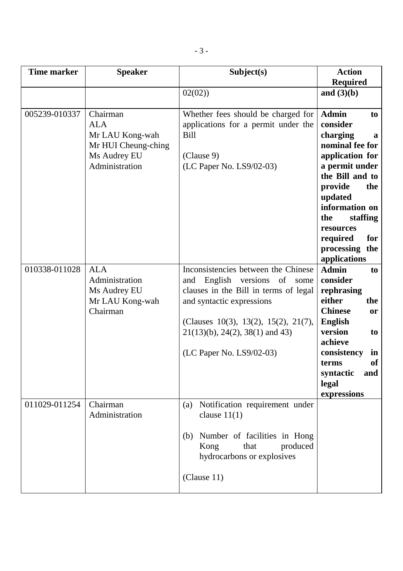| <b>Time marker</b> | <b>Speaker</b>                                                                                     | Subject(s)                                                                                                                                                                                                                                                  | <b>Action</b><br><b>Required</b>                                                                                                                                                                                                                               |
|--------------------|----------------------------------------------------------------------------------------------------|-------------------------------------------------------------------------------------------------------------------------------------------------------------------------------------------------------------------------------------------------------------|----------------------------------------------------------------------------------------------------------------------------------------------------------------------------------------------------------------------------------------------------------------|
|                    |                                                                                                    | 02(02)                                                                                                                                                                                                                                                      | and $(3)(b)$                                                                                                                                                                                                                                                   |
| 005239-010337      | Chairman<br><b>ALA</b><br>Mr LAU Kong-wah<br>Mr HUI Cheung-ching<br>Ms Audrey EU<br>Administration | Whether fees should be charged for<br>applications for a permit under the<br>Bill<br>(Clause 9)<br>(LC Paper No. LS9/02-03)                                                                                                                                 | <b>Admin</b><br>to<br>consider<br>charging<br>a<br>nominal fee for<br>application for<br>a permit under<br>the Bill and to<br>provide<br>the<br>updated<br>information on<br>staffing<br>the<br>resources<br>required<br>for<br>processing the<br>applications |
| 010338-011028      | <b>ALA</b><br>Administration<br>Ms Audrey EU<br>Mr LAU Kong-wah<br>Chairman                        | Inconsistencies between the Chinese<br>and<br>English versions of some<br>clauses in the Bill in terms of legal<br>and syntactic expressions<br>(Clauses 10(3), 13(2), 15(2), 21(7),<br>$21(13)(b)$ , $24(2)$ , $38(1)$ and 43)<br>(LC Paper No. LS9/02-03) | <b>Admin</b><br>to<br>consider<br>rephrasing<br>either<br>the<br><b>Chinese</b><br><b>or</b><br><b>English</b><br>version<br>to<br>achieve<br>consistency<br>in<br><b>of</b><br>terms<br>syntactic<br>and<br>legal<br>expressions                              |
| 011029-011254      | Chairman<br>Administration                                                                         | Notification requirement under<br>(a)<br>clause $11(1)$<br>Number of facilities in Hong<br>(b)<br>produced<br>Kong<br>that<br>hydrocarbons or explosives<br>(Clause 11)                                                                                     |                                                                                                                                                                                                                                                                |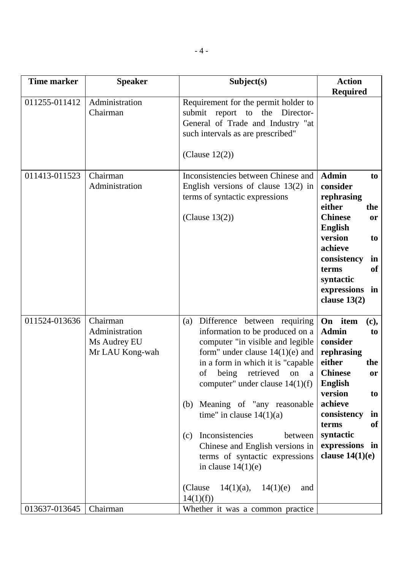| <b>Time marker</b> | <b>Speaker</b>                                                | Subject(s)                                                                                                                                                                                                                                                                                                                                                                                                                                                                                                                         | <b>Action</b>                                                                                                                                                                                                                                         |
|--------------------|---------------------------------------------------------------|------------------------------------------------------------------------------------------------------------------------------------------------------------------------------------------------------------------------------------------------------------------------------------------------------------------------------------------------------------------------------------------------------------------------------------------------------------------------------------------------------------------------------------|-------------------------------------------------------------------------------------------------------------------------------------------------------------------------------------------------------------------------------------------------------|
| 011255-011412      | Administration<br>Chairman                                    | Requirement for the permit holder to<br>submit report to<br>the Director-<br>General of Trade and Industry "at<br>such intervals as are prescribed"<br>(Clause $12(2)$ )                                                                                                                                                                                                                                                                                                                                                           | <b>Required</b>                                                                                                                                                                                                                                       |
| 011413-011523      | Chairman<br>Administration                                    | Inconsistencies between Chinese and<br>English versions of clause $13(2)$ in<br>terms of syntactic expressions<br>(Clause $13(2)$ )                                                                                                                                                                                                                                                                                                                                                                                                | <b>Admin</b><br>to<br>consider<br>rephrasing<br>either<br>the<br><b>Chinese</b><br><sub>or</sub><br><b>English</b><br>version<br>to<br>achieve<br>consistency<br>in<br><b>of</b><br>terms<br>syntactic<br>expressions<br>in<br>clause $13(2)$         |
| 011524-013636      | Chairman<br>Administration<br>Ms Audrey EU<br>Mr LAU Kong-wah | Difference between requiring<br>(a)<br>information to be produced on a<br>computer "in visible and legible<br>form" under clause $14(1)(e)$ and<br>in a form in which it is "capable"<br>of<br>being<br>retrieved<br>on<br>a<br>computer" under clause $14(1)(f)$<br>Meaning of "any reasonable"<br>(b)<br>time" in clause $14(1)(a)$<br>Inconsistencies<br>between<br>(c)<br>Chinese and English versions in<br>terms of syntactic expressions<br>in clause $14(1)(e)$<br>(Clause)<br>$14(1)(a)$ ,<br>14(1)(e)<br>and<br>14(1)(f) | On item<br>(c),<br><b>Admin</b><br>to<br>consider<br>rephrasing<br>either<br>the<br><b>Chinese</b><br>or<br><b>English</b><br>version<br>to<br>achieve<br>consistency<br>in<br><b>of</b><br>terms<br>syntactic<br>expressions in<br>clause $14(1)(e)$ |
| 013637-013645      | Chairman                                                      | Whether it was a common practice                                                                                                                                                                                                                                                                                                                                                                                                                                                                                                   |                                                                                                                                                                                                                                                       |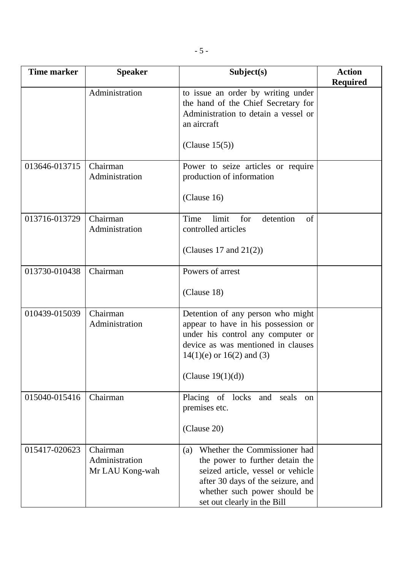| <b>Time marker</b> | <b>Speaker</b>                                | Subject(s)                                                                                                                                                                                                      | <b>Action</b><br><b>Required</b> |
|--------------------|-----------------------------------------------|-----------------------------------------------------------------------------------------------------------------------------------------------------------------------------------------------------------------|----------------------------------|
|                    | Administration                                | to issue an order by writing under<br>the hand of the Chief Secretary for<br>Administration to detain a vessel or<br>an aircraft                                                                                |                                  |
|                    |                                               | (Clause $15(5)$ )                                                                                                                                                                                               |                                  |
| 013646-013715      | Chairman<br>Administration                    | Power to seize articles or require<br>production of information                                                                                                                                                 |                                  |
|                    |                                               | (Clause 16)                                                                                                                                                                                                     |                                  |
| 013716-013729      | Chairman<br>Administration                    | Time<br>limit<br>for<br>detention<br>of<br>controlled articles                                                                                                                                                  |                                  |
|                    |                                               | (Clauses 17 and $21(2)$ )                                                                                                                                                                                       |                                  |
| 013730-010438      | Chairman                                      | Powers of arrest                                                                                                                                                                                                |                                  |
|                    |                                               | (Clause 18)                                                                                                                                                                                                     |                                  |
| 010439-015039      | Chairman<br>Administration                    | Detention of any person who might<br>appear to have in his possession or<br>under his control any computer or<br>device as was mentioned in clauses<br>$14(1)(e)$ or $16(2)$ and (3)                            |                                  |
|                    |                                               | (Clause $19(1)(d)$ )                                                                                                                                                                                            |                                  |
| 015040-015416      | Chairman                                      | Placing of locks and seals<br><sub>on</sub><br>premises etc.                                                                                                                                                    |                                  |
|                    |                                               | (Clause 20)                                                                                                                                                                                                     |                                  |
| 015417-020623      | Chairman<br>Administration<br>Mr LAU Kong-wah | Whether the Commissioner had<br>(a)<br>the power to further detain the<br>seized article, vessel or vehicle<br>after 30 days of the seizure, and<br>whether such power should be<br>set out clearly in the Bill |                                  |